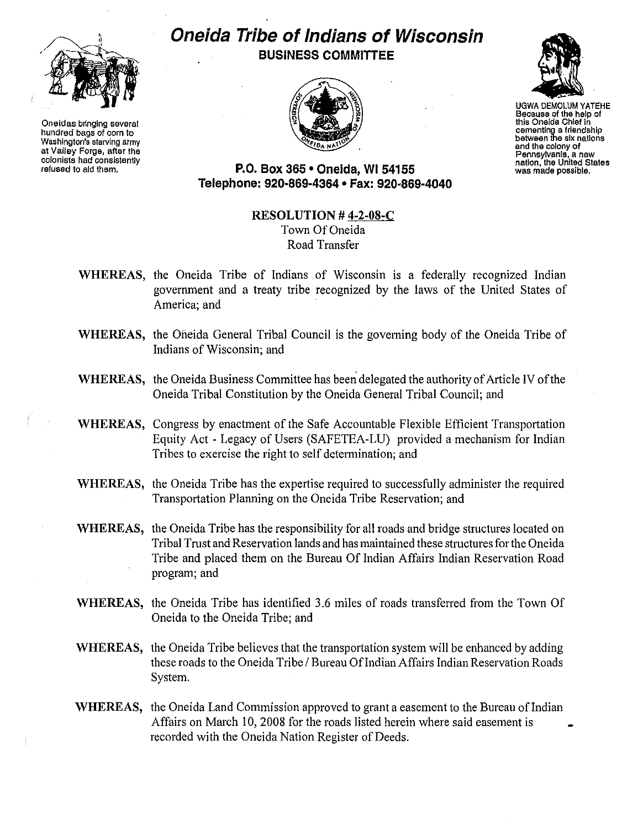

**Oneidas bringing several hundred bags of com to Washington's starving army at Valley Forge, after the colonists had consistently refused to aId them.**

## **Oneida Tribe of Indians of Wisconsin BUSINESS COMMITTEE**





UGWA OEMOLUM YATEHE **Because of the help of** this Onelde Chief In **cementing a friendship between the six nations and the colony of Pennsylvania, a new nation, the United States was made possible.**

**P.O. Box 365 • Oneida, WI 54155 Telephone: 920-869-4364 • Fax: 920-869-4040**

## **RESOLUTION # 4·2·08·C** Town Of Oneida Road Transfer

- **WHEREAS,** the Oneida Tribe of Indians of Wisconsin is a federally recognized Indian government and a treaty tribe recognized by the laws of the United States of America; and
- **WHEREAS,** the Oneida General Tribal Council is the goveming body of the Oneida Tribe of Indians of Wisconsin; and
- **WHEREAS,** the Oneida Business Committee has been delegated the authority of Article IV of the Oneida Tribal Constitution by the Oneida General Tribal Council; and
- **WHEREAS,** Congress by enactment of the Safe Accountable Flexible Efficient Transportation Equity Act - Legacy of Users (SAFETEA-LU) provided a mechanism for Indian Tribes to exercise the right to self determination; and
- **WHEREAS,** the Oneida Tribe has the expertise required to successfully administer the required Transportation Planning on the Oneida Tribe Reservation; and
- **WHEREAS,** the Oneida Tribe has the responsibility for all roads and bridge structures located on Tribal Trust and Reservation lands and hasmaintained these structuresfor the Oneida Tribe and placed them on the Bureau Of Indian Affairs Indian Reservation Road program; and
- WHEREAS, the Oneida Tribe has identified 3.6 miles of roads transferred from the Town Of Oneida to the Oneida Tribe; and
- **WHEREAS,** the Oneida Tribe believes that the transportation system will be enhanced by adding these roads to the Oneida Tribe / Bureau Of Indian Affairs Indian Reservation Roads System.
- WHEREAS, the Oneida Land Commission approved to grant a easement to the Bureau of Indian Affairs on March 10, 2008 for the roads listed herein where said easement is recorded with the Oneida Nation Register of Deeds.